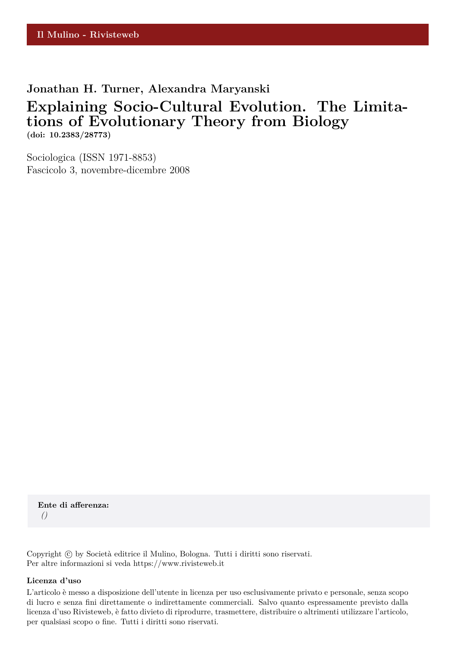**Jonathan H. Turner, Alexandra Maryanski**

## **Explaining Socio-Cultural Evolution. The Limitations of Evolutionary Theory from Biology (doi: 10.2383/28773)**

Sociologica (ISSN 1971-8853) Fascicolo 3, novembre-dicembre 2008

**Ente di afferenza:** *()*

Copyright © by Società editrice il Mulino, Bologna. Tutti i diritti sono riservati. Per altre informazioni si veda https://www.rivisteweb.it

#### **Licenza d'uso**

L'articolo è messo a disposizione dell'utente in licenza per uso esclusivamente privato e personale, senza scopo di lucro e senza fini direttamente o indirettamente commerciali. Salvo quanto espressamente previsto dalla licenza d'uso Rivisteweb, è fatto divieto di riprodurre, trasmettere, distribuire o altrimenti utilizzare l'articolo, per qualsiasi scopo o fine. Tutti i diritti sono riservati.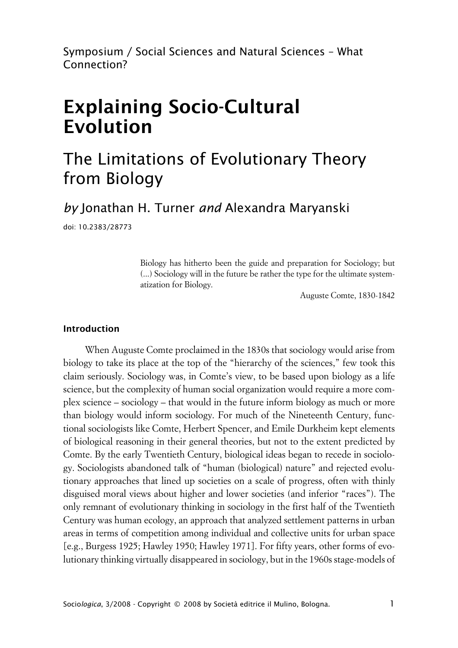Symposium / Social Sciences and Natural Sciences – What Connection?

# **Explaining Socio-Cultural Evolution**

## The Limitations of Evolutionary Theory from Biology

*by* Jonathan H. Turner *and* Alexandra Maryanski

doi: 10.2383/28773

Biology has hitherto been the guide and preparation for Sociology; but (...) Sociology will in the future be rather the type for the ultimate systematization for Biology.

Auguste Comte, 1830-1842

#### **xIntroduction**

When Auguste Comte proclaimed in the 1830s that sociology would arise from biology to take its place at the top of the "hierarchy of the sciences," few took this claim seriously. Sociology was, in Comte's view, to be based upon biology as a life science, but the complexity of human social organization would require a more complex science – sociology – that would in the future inform biology as much or more than biology would inform sociology. For much of the Nineteenth Century, functional sociologists like Comte, Herbert Spencer, and Emile Durkheim kept elements of biological reasoning in their general theories, but not to the extent predicted by Comte. By the early Twentieth Century, biological ideas began to recede in sociology. Sociologists abandoned talk of "human (biological) nature" and rejected evolutionary approaches that lined up societies on a scale of progress, often with thinly disguised moral views about higher and lower societies (and inferior "races"). The only remnant of evolutionary thinking in sociology in the first half of the Twentieth Century was human ecology, an approach that analyzed settlement patterns in urban areas in terms of competition among individual and collective units for urban space [e.g., Burgess 1925; Hawley 1950; Hawley 1971]. For fifty years, other forms of evolutionary thinking virtually disappeared in sociology, but in the 1960s stage-models of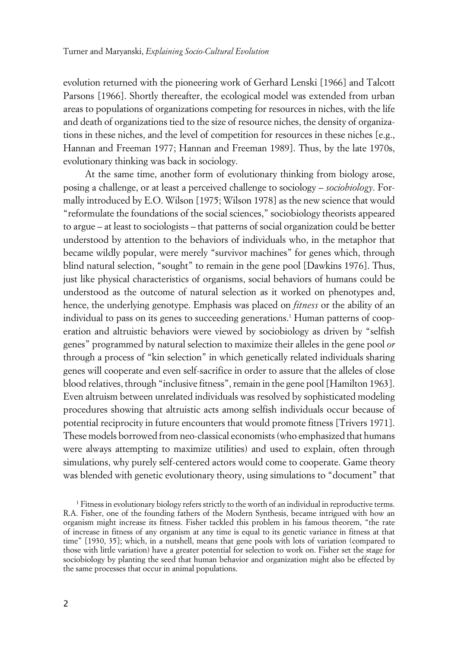evolution returned with the pioneering work of Gerhard Lenski [1966] and Talcott Parsons [1966]. Shortly thereafter, the ecological model was extended from urban areas to populations of organizations competing for resources in niches, with the life and death of organizations tied to the size of resource niches, the density of organizations in these niches, and the level of competition for resources in these niches [e.g., Hannan and Freeman 1977; Hannan and Freeman 1989]. Thus, by the late 1970s, evolutionary thinking was back in sociology.

At the same time, another form of evolutionary thinking from biology arose, posing a challenge, or at least a perceived challenge to sociology – *sociobiology*. Formally introduced by E.O. Wilson [1975; Wilson 1978] as the new science that would "reformulate the foundations of the social sciences," sociobiology theorists appeared to argue – at least to sociologists – that patterns of social organization could be better understood by attention to the behaviors of individuals who, in the metaphor that became wildly popular, were merely "survivor machines" for genes which, through blind natural selection, "sought" to remain in the gene pool [Dawkins 1976]. Thus, just like physical characteristics of organisms, social behaviors of humans could be understood as the outcome of natural selection as it worked on phenotypes and, hence, the underlying genotype. Emphasis was placed on *fitness* or the ability of an individual to pass on its genes to succeeding generations.<sup>1</sup> Human patterns of cooperation and altruistic behaviors were viewed by sociobiology as driven by "selfish genes" programmed by natural selection to maximize their alleles in the gene pool *or* through a process of "kin selection" in which genetically related individuals sharing genes will cooperate and even self-sacrifice in order to assure that the alleles of close blood relatives, through "inclusive fitness", remain in the gene pool [Hamilton 1963]. Even altruism between unrelated individuals was resolved by sophisticated modeling procedures showing that altruistic acts among selfish individuals occur because of potential reciprocity in future encounters that would promote fitness [Trivers 1971]. These models borrowed from neo-classical economists (who emphasized that humans were always attempting to maximize utilities) and used to explain, often through simulations, why purely self-centered actors would come to cooperate. Game theory was blended with genetic evolutionary theory, using simulations to "document" that

<sup>1</sup> Fitness in evolutionary biology refers strictly to the worth of an individual in reproductive terms. R.A. Fisher, one of the founding fathers of the Modern Synthesis, became intrigued with how an organism might increase its fitness. Fisher tackled this problem in his famous theorem, "the rate of increase in fitness of any organism at any time is equal to its genetic variance in fitness at that time" [1930, 35]; which, in a nutshell, means that gene pools with lots of variation (compared to those with little variation) have a greater potential for selection to work on. Fisher set the stage for sociobiology by planting the seed that human behavior and organization might also be effected by the same processes that occur in animal populations.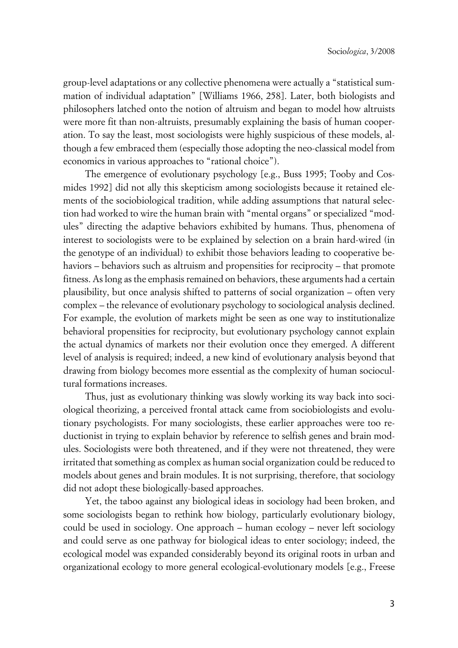group-level adaptations or any collective phenomena were actually a "statistical summation of individual adaptation" [Williams 1966, 258]. Later, both biologists and philosophers latched onto the notion of altruism and began to model how altruists were more fit than non-altruists, presumably explaining the basis of human cooperation. To say the least, most sociologists were highly suspicious of these models, although a few embraced them (especially those adopting the neo-classical model from economics in various approaches to "rational choice").

The emergence of evolutionary psychology [e.g., Buss 1995; Tooby and Cosmides 1992] did not ally this skepticism among sociologists because it retained elements of the sociobiological tradition, while adding assumptions that natural selection had worked to wire the human brain with "mental organs" or specialized "modules" directing the adaptive behaviors exhibited by humans. Thus, phenomena of interest to sociologists were to be explained by selection on a brain hard-wired (in the genotype of an individual) to exhibit those behaviors leading to cooperative behaviors – behaviors such as altruism and propensities for reciprocity – that promote fitness. As long as the emphasis remained on behaviors, these arguments had a certain plausibility, but once analysis shifted to patterns of social organization – often very complex – the relevance of evolutionary psychology to sociological analysis declined. For example, the evolution of markets might be seen as one way to institutionalize behavioral propensities for reciprocity, but evolutionary psychology cannot explain the actual dynamics of markets nor their evolution once they emerged. A different level of analysis is required; indeed, a new kind of evolutionary analysis beyond that drawing from biology becomes more essential as the complexity of human sociocultural formations increases.

Thus, just as evolutionary thinking was slowly working its way back into sociological theorizing, a perceived frontal attack came from sociobiologists and evolutionary psychologists. For many sociologists, these earlier approaches were too reductionist in trying to explain behavior by reference to selfish genes and brain modules. Sociologists were both threatened, and if they were not threatened, they were irritated that something as complex as human social organization could be reduced to models about genes and brain modules. It is not surprising, therefore, that sociology did not adopt these biologically-based approaches.

Yet, the taboo against any biological ideas in sociology had been broken, and some sociologists began to rethink how biology, particularly evolutionary biology, could be used in sociology. One approach – human ecology – never left sociology and could serve as one pathway for biological ideas to enter sociology; indeed, the ecological model was expanded considerably beyond its original roots in urban and organizational ecology to more general ecological-evolutionary models [e.g., Freese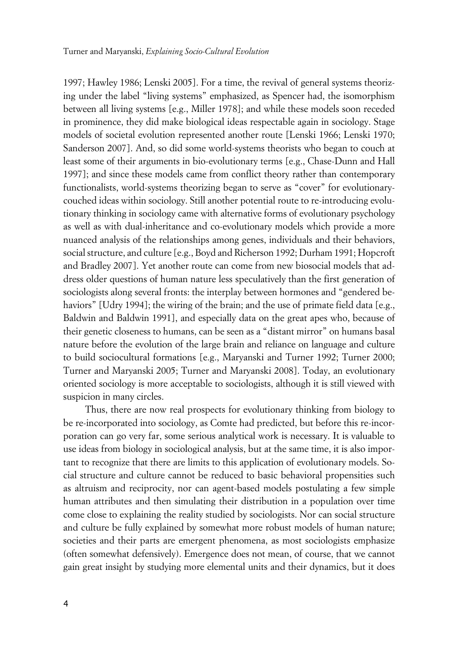1997; Hawley 1986; Lenski 2005]. For a time, the revival of general systems theorizing under the label "living systems" emphasized, as Spencer had, the isomorphism between all living systems [e.g., Miller 1978]; and while these models soon receded in prominence, they did make biological ideas respectable again in sociology. Stage models of societal evolution represented another route [Lenski 1966; Lenski 1970; Sanderson 2007]. And, so did some world-systems theorists who began to couch at least some of their arguments in bio-evolutionary terms [e.g., Chase-Dunn and Hall 1997]; and since these models came from conflict theory rather than contemporary functionalists, world-systems theorizing began to serve as "cover" for evolutionarycouched ideas within sociology. Still another potential route to re-introducing evolutionary thinking in sociology came with alternative forms of evolutionary psychology as well as with dual-inheritance and co-evolutionary models which provide a more nuanced analysis of the relationships among genes, individuals and their behaviors, social structure, and culture [e.g., Boyd and Richerson 1992; Durham 1991; Hopcroft and Bradley 2007]. Yet another route can come from new biosocial models that address older questions of human nature less speculatively than the first generation of sociologists along several fronts: the interplay between hormones and "gendered behaviors" [Udry 1994]; the wiring of the brain; and the use of primate field data [e.g., Baldwin and Baldwin 1991], and especially data on the great apes who, because of their genetic closeness to humans, can be seen as a "distant mirror" on humans basal nature before the evolution of the large brain and reliance on language and culture to build sociocultural formations [e.g., Maryanski and Turner 1992; Turner 2000; Turner and Maryanski 2005; Turner and Maryanski 2008]. Today, an evolutionary oriented sociology is more acceptable to sociologists, although it is still viewed with suspicion in many circles.

Thus, there are now real prospects for evolutionary thinking from biology to be re-incorporated into sociology, as Comte had predicted, but before this re-incorporation can go very far, some serious analytical work is necessary. It is valuable to use ideas from biology in sociological analysis, but at the same time, it is also important to recognize that there are limits to this application of evolutionary models. Social structure and culture cannot be reduced to basic behavioral propensities such as altruism and reciprocity, nor can agent-based models postulating a few simple human attributes and then simulating their distribution in a population over time come close to explaining the reality studied by sociologists. Nor can social structure and culture be fully explained by somewhat more robust models of human nature; societies and their parts are emergent phenomena, as most sociologists emphasize (often somewhat defensively). Emergence does not mean, of course, that we cannot gain great insight by studying more elemental units and their dynamics, but it does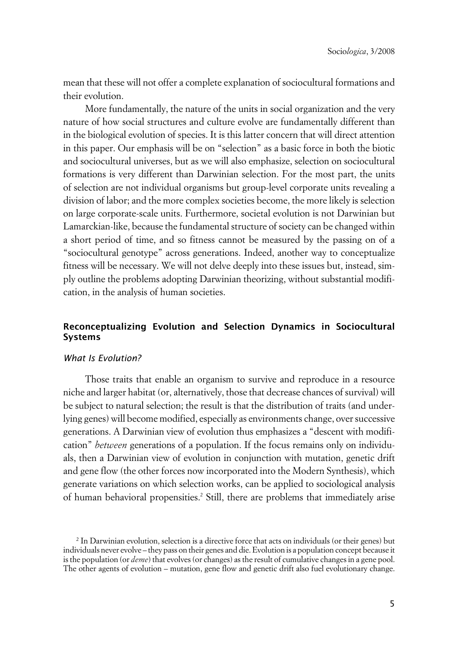mean that these will not offer a complete explanation of sociocultural formations and their evolution.

More fundamentally, the nature of the units in social organization and the very nature of how social structures and culture evolve are fundamentally different than in the biological evolution of species. It is this latter concern that will direct attention in this paper. Our emphasis will be on "selection" as a basic force in both the biotic and sociocultural universes, but as we will also emphasize, selection on sociocultural formations is very different than Darwinian selection. For the most part, the units of selection are not individual organisms but group-level corporate units revealing a division of labor; and the more complex societies become, the more likely is selection on large corporate-scale units. Furthermore, societal evolution is not Darwinian but Lamarckian-like, because the fundamental structure of society can be changed within a short period of time, and so fitness cannot be measured by the passing on of a "sociocultural genotype" across generations. Indeed, another way to conceptualize fitness will be necessary. We will not delve deeply into these issues but, instead, simply outline the problems adopting Darwinian theorizing, without substantial modification, in the analysis of human societies.

## **xReconceptualizing Evolution and Selection Dynamics in Sociocultural Systems**

#### x*What Is Evolution?*

Those traits that enable an organism to survive and reproduce in a resource niche and larger habitat (or, alternatively, those that decrease chances of survival) will be subject to natural selection; the result is that the distribution of traits (and underlying genes) will become modified, especially as environments change, over successive generations. A Darwinian view of evolution thus emphasizes a "descent with modification" *between* generations of a population. If the focus remains only on individuals, then a Darwinian view of evolution in conjunction with mutation, genetic drift and gene flow (the other forces now incorporated into the Modern Synthesis), which generate variations on which selection works, can be applied to sociological analysis of human behavioral propensities.<sup>2</sup> Still, there are problems that immediately arise

<sup>2</sup> In Darwinian evolution, selection is a directive force that acts on individuals (or their genes) but individuals never evolve – they pass on their genes and die. Evolution is a population concept because it is the population (or *deme*) that evolves (or changes) as the result of cumulative changes in a gene pool. The other agents of evolution – mutation, gene flow and genetic drift also fuel evolutionary change.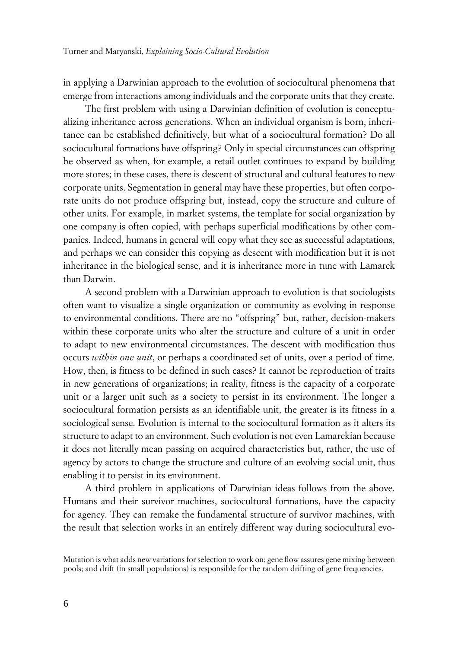in applying a Darwinian approach to the evolution of sociocultural phenomena that emerge from interactions among individuals and the corporate units that they create.

The first problem with using a Darwinian definition of evolution is conceptualizing inheritance across generations. When an individual organism is born, inheritance can be established definitively, but what of a sociocultural formation? Do all sociocultural formations have offspring? Only in special circumstances can offspring be observed as when, for example, a retail outlet continues to expand by building more stores; in these cases, there is descent of structural and cultural features to new corporate units. Segmentation in general may have these properties, but often corporate units do not produce offspring but, instead, copy the structure and culture of other units. For example, in market systems, the template for social organization by one company is often copied, with perhaps superficial modifications by other companies. Indeed, humans in general will copy what they see as successful adaptations, and perhaps we can consider this copying as descent with modification but it is not inheritance in the biological sense, and it is inheritance more in tune with Lamarck than Darwin.

A second problem with a Darwinian approach to evolution is that sociologists often want to visualize a single organization or community as evolving in response to environmental conditions. There are no "offspring" but, rather, decision-makers within these corporate units who alter the structure and culture of a unit in order to adapt to new environmental circumstances. The descent with modification thus occurs *within one unit*, or perhaps a coordinated set of units, over a period of time. How, then, is fitness to be defined in such cases? It cannot be reproduction of traits in new generations of organizations; in reality, fitness is the capacity of a corporate unit or a larger unit such as a society to persist in its environment. The longer a sociocultural formation persists as an identifiable unit, the greater is its fitness in a sociological sense. Evolution is internal to the sociocultural formation as it alters its structure to adapt to an environment. Such evolution is not even Lamarckian because it does not literally mean passing on acquired characteristics but, rather, the use of agency by actors to change the structure and culture of an evolving social unit, thus enabling it to persist in its environment.

A third problem in applications of Darwinian ideas follows from the above. Humans and their survivor machines, sociocultural formations, have the capacity for agency. They can remake the fundamental structure of survivor machines, with the result that selection works in an entirely different way during sociocultural evo-

Mutation is what adds new variations for selection to work on; gene flow assures gene mixing between pools; and drift (in small populations) is responsible for the random drifting of gene frequencies.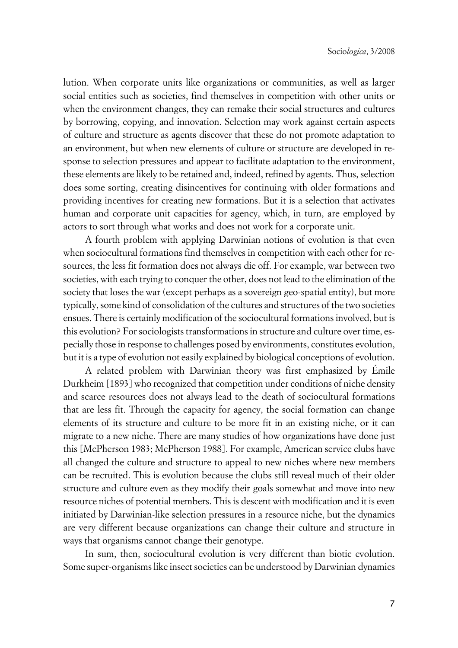lution. When corporate units like organizations or communities, as well as larger social entities such as societies, find themselves in competition with other units or when the environment changes, they can remake their social structures and cultures by borrowing, copying, and innovation. Selection may work against certain aspects of culture and structure as agents discover that these do not promote adaptation to an environment, but when new elements of culture or structure are developed in response to selection pressures and appear to facilitate adaptation to the environment, these elements are likely to be retained and, indeed, refined by agents. Thus, selection does some sorting, creating disincentives for continuing with older formations and providing incentives for creating new formations. But it is a selection that activates human and corporate unit capacities for agency, which, in turn, are employed by actors to sort through what works and does not work for a corporate unit.

A fourth problem with applying Darwinian notions of evolution is that even when sociocultural formations find themselves in competition with each other for resources, the less fit formation does not always die off. For example, war between two societies, with each trying to conquer the other, does not lead to the elimination of the society that loses the war (except perhaps as a sovereign geo-spatial entity), but more typically, some kind of consolidation of the cultures and structures of the two societies ensues. There is certainly modification of the sociocultural formations involved, but is this evolution? For sociologists transformations in structure and culture over time, especially those in response to challenges posed by environments, constitutes evolution, but it is a type of evolution not easily explained by biological conceptions of evolution.

A related problem with Darwinian theory was first emphasized by Émile Durkheim [1893] who recognized that competition under conditions of niche density and scarce resources does not always lead to the death of sociocultural formations that are less fit. Through the capacity for agency, the social formation can change elements of its structure and culture to be more fit in an existing niche, or it can migrate to a new niche. There are many studies of how organizations have done just this [McPherson 1983; McPherson 1988]. For example, American service clubs have all changed the culture and structure to appeal to new niches where new members can be recruited. This is evolution because the clubs still reveal much of their older structure and culture even as they modify their goals somewhat and move into new resource niches of potential members. This is descent with modification and it is even initiated by Darwinian-like selection pressures in a resource niche, but the dynamics are very different because organizations can change their culture and structure in ways that organisms cannot change their genotype.

In sum, then, sociocultural evolution is very different than biotic evolution. Some super-organisms like insect societies can be understood by Darwinian dynamics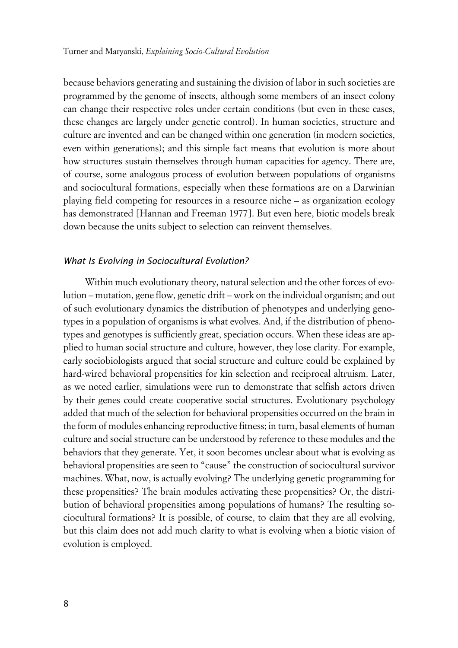because behaviors generating and sustaining the division of labor in such societies are programmed by the genome of insects, although some members of an insect colony can change their respective roles under certain conditions (but even in these cases, these changes are largely under genetic control). In human societies, structure and culture are invented and can be changed within one generation (in modern societies, even within generations); and this simple fact means that evolution is more about how structures sustain themselves through human capacities for agency. There are, of course, some analogous process of evolution between populations of organisms and sociocultural formations, especially when these formations are on a Darwinian playing field competing for resources in a resource niche – as organization ecology has demonstrated [Hannan and Freeman 1977]. But even here, biotic models break down because the units subject to selection can reinvent themselves.

#### x*What Is Evolving in Sociocultural Evolution?*

Within much evolutionary theory, natural selection and the other forces of evolution – mutation, gene flow, genetic drift – work on the individual organism; and out of such evolutionary dynamics the distribution of phenotypes and underlying genotypes in a population of organisms is what evolves. And, if the distribution of phenotypes and genotypes is sufficiently great, speciation occurs. When these ideas are applied to human social structure and culture, however, they lose clarity. For example, early sociobiologists argued that social structure and culture could be explained by hard-wired behavioral propensities for kin selection and reciprocal altruism. Later, as we noted earlier, simulations were run to demonstrate that selfish actors driven by their genes could create cooperative social structures. Evolutionary psychology added that much of the selection for behavioral propensities occurred on the brain in the form of modules enhancing reproductive fitness; in turn, basal elements of human culture and social structure can be understood by reference to these modules and the behaviors that they generate. Yet, it soon becomes unclear about what is evolving as behavioral propensities are seen to "cause" the construction of sociocultural survivor machines. What, now, is actually evolving? The underlying genetic programming for these propensities? The brain modules activating these propensities? Or, the distribution of behavioral propensities among populations of humans? The resulting sociocultural formations? It is possible, of course, to claim that they are all evolving, but this claim does not add much clarity to what is evolving when a biotic vision of evolution is employed.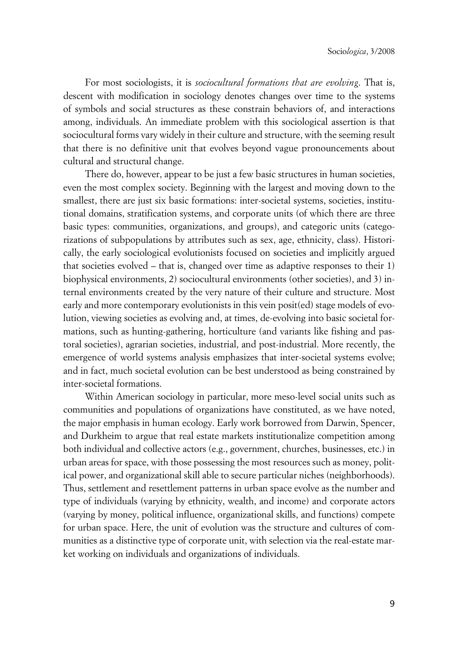For most sociologists, it is *sociocultural formations that are evolving*. That is, descent with modification in sociology denotes changes over time to the systems of symbols and social structures as these constrain behaviors of, and interactions among, individuals. An immediate problem with this sociological assertion is that sociocultural forms vary widely in their culture and structure, with the seeming result that there is no definitive unit that evolves beyond vague pronouncements about cultural and structural change.

There do, however, appear to be just a few basic structures in human societies, even the most complex society. Beginning with the largest and moving down to the smallest, there are just six basic formations: inter-societal systems, societies, institutional domains, stratification systems, and corporate units (of which there are three basic types: communities, organizations, and groups), and categoric units (categorizations of subpopulations by attributes such as sex, age, ethnicity, class). Historically, the early sociological evolutionists focused on societies and implicitly argued that societies evolved – that is, changed over time as adaptive responses to their 1) biophysical environments, 2) sociocultural environments (other societies), and 3) internal environments created by the very nature of their culture and structure. Most early and more contemporary evolutionists in this vein posit(ed) stage models of evolution, viewing societies as evolving and, at times, de-evolving into basic societal formations, such as hunting-gathering, horticulture (and variants like fishing and pastoral societies), agrarian societies, industrial, and post-industrial. More recently, the emergence of world systems analysis emphasizes that inter-societal systems evolve; and in fact, much societal evolution can be best understood as being constrained by inter-societal formations.

Within American sociology in particular, more meso-level social units such as communities and populations of organizations have constituted, as we have noted, the major emphasis in human ecology. Early work borrowed from Darwin, Spencer, and Durkheim to argue that real estate markets institutionalize competition among both individual and collective actors (e.g., government, churches, businesses, etc.) in urban areas for space, with those possessing the most resources such as money, political power, and organizational skill able to secure particular niches (neighborhoods). Thus, settlement and resettlement patterns in urban space evolve as the number and type of individuals (varying by ethnicity, wealth, and income) and corporate actors (varying by money, political influence, organizational skills, and functions) compete for urban space. Here, the unit of evolution was the structure and cultures of communities as a distinctive type of corporate unit, with selection via the real-estate market working on individuals and organizations of individuals.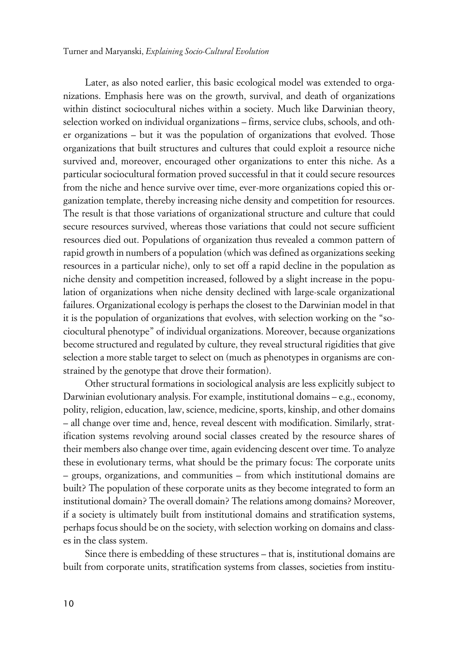Later, as also noted earlier, this basic ecological model was extended to organizations. Emphasis here was on the growth, survival, and death of organizations within distinct sociocultural niches within a society. Much like Darwinian theory, selection worked on individual organizations – firms, service clubs, schools, and other organizations – but it was the population of organizations that evolved. Those organizations that built structures and cultures that could exploit a resource niche survived and, moreover, encouraged other organizations to enter this niche. As a particular sociocultural formation proved successful in that it could secure resources from the niche and hence survive over time, ever-more organizations copied this organization template, thereby increasing niche density and competition for resources. The result is that those variations of organizational structure and culture that could secure resources survived, whereas those variations that could not secure sufficient resources died out. Populations of organization thus revealed a common pattern of rapid growth in numbers of a population (which was defined as organizations seeking resources in a particular niche), only to set off a rapid decline in the population as niche density and competition increased, followed by a slight increase in the population of organizations when niche density declined with large-scale organizational failures. Organizational ecology is perhaps the closest to the Darwinian model in that it is the population of organizations that evolves, with selection working on the "sociocultural phenotype" of individual organizations. Moreover, because organizations become structured and regulated by culture, they reveal structural rigidities that give selection a more stable target to select on (much as phenotypes in organisms are constrained by the genotype that drove their formation).

Other structural formations in sociological analysis are less explicitly subject to Darwinian evolutionary analysis. For example, institutional domains – e.g., economy, polity, religion, education, law, science, medicine, sports, kinship, and other domains – all change over time and, hence, reveal descent with modification. Similarly, stratification systems revolving around social classes created by the resource shares of their members also change over time, again evidencing descent over time. To analyze these in evolutionary terms, what should be the primary focus: The corporate units – groups, organizations, and communities – from which institutional domains are built? The population of these corporate units as they become integrated to form an institutional domain? The overall domain? The relations among domains? Moreover, if a society is ultimately built from institutional domains and stratification systems, perhaps focus should be on the society, with selection working on domains and classes in the class system.

Since there is embedding of these structures – that is, institutional domains are built from corporate units, stratification systems from classes, societies from institu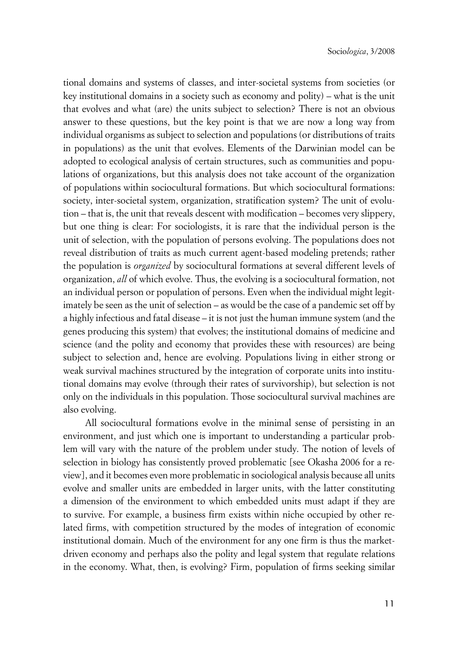tional domains and systems of classes, and inter-societal systems from societies (or key institutional domains in a society such as economy and polity) – what is the unit that evolves and what (are) the units subject to selection? There is not an obvious answer to these questions, but the key point is that we are now a long way from individual organisms as subject to selection and populations (or distributions of traits in populations) as the unit that evolves. Elements of the Darwinian model can be adopted to ecological analysis of certain structures, such as communities and populations of organizations, but this analysis does not take account of the organization of populations within sociocultural formations. But which sociocultural formations: society, inter-societal system, organization, stratification system? The unit of evolution – that is, the unit that reveals descent with modification – becomes very slippery, but one thing is clear: For sociologists, it is rare that the individual person is the unit of selection, with the population of persons evolving. The populations does not reveal distribution of traits as much current agent-based modeling pretends; rather the population is *organized* by sociocultural formations at several different levels of organization, *all* of which evolve. Thus, the evolving is a sociocultural formation, not an individual person or population of persons. Even when the individual might legitimately be seen as the unit of selection – as would be the case of a pandemic set off by a highly infectious and fatal disease – it is not just the human immune system (and the genes producing this system) that evolves; the institutional domains of medicine and science (and the polity and economy that provides these with resources) are being subject to selection and, hence are evolving. Populations living in either strong or weak survival machines structured by the integration of corporate units into institutional domains may evolve (through their rates of survivorship), but selection is not only on the individuals in this population. Those sociocultural survival machines are also evolving.

All sociocultural formations evolve in the minimal sense of persisting in an environment, and just which one is important to understanding a particular problem will vary with the nature of the problem under study. The notion of levels of selection in biology has consistently proved problematic [see Okasha 2006 for a review], and it becomes even more problematic in sociological analysis because all units evolve and smaller units are embedded in larger units, with the latter constituting a dimension of the environment to which embedded units must adapt if they are to survive. For example, a business firm exists within niche occupied by other related firms, with competition structured by the modes of integration of economic institutional domain. Much of the environment for any one firm is thus the marketdriven economy and perhaps also the polity and legal system that regulate relations in the economy. What, then, is evolving? Firm, population of firms seeking similar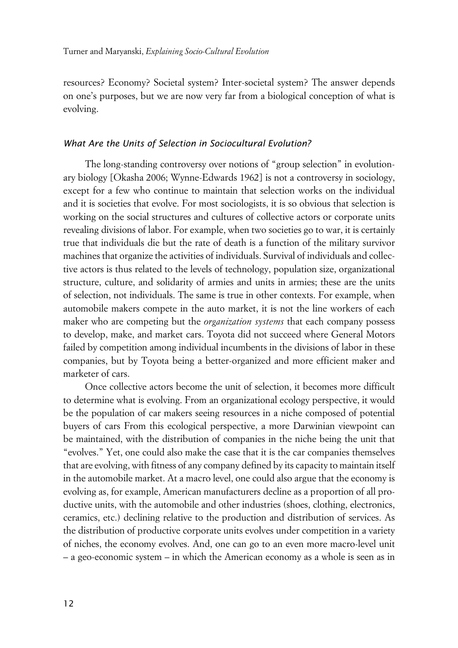resources? Economy? Societal system? Inter-societal system? The answer depends on one's purposes, but we are now very far from a biological conception of what is evolving.

#### x*What Are the Units of Selection in Sociocultural Evolution?*

The long-standing controversy over notions of "group selection" in evolutionary biology [Okasha 2006; Wynne-Edwards 1962] is not a controversy in sociology, except for a few who continue to maintain that selection works on the individual and it is societies that evolve. For most sociologists, it is so obvious that selection is working on the social structures and cultures of collective actors or corporate units revealing divisions of labor. For example, when two societies go to war, it is certainly true that individuals die but the rate of death is a function of the military survivor machines that organize the activities of individuals. Survival of individuals and collective actors is thus related to the levels of technology, population size, organizational structure, culture, and solidarity of armies and units in armies; these are the units of selection, not individuals. The same is true in other contexts. For example, when automobile makers compete in the auto market, it is not the line workers of each maker who are competing but the *organization systems* that each company possess to develop, make, and market cars. Toyota did not succeed where General Motors failed by competition among individual incumbents in the divisions of labor in these companies, but by Toyota being a better-organized and more efficient maker and marketer of cars.

Once collective actors become the unit of selection, it becomes more difficult to determine what is evolving. From an organizational ecology perspective, it would be the population of car makers seeing resources in a niche composed of potential buyers of cars From this ecological perspective, a more Darwinian viewpoint can be maintained, with the distribution of companies in the niche being the unit that "evolves." Yet, one could also make the case that it is the car companies themselves that are evolving, with fitness of any company defined by its capacity to maintain itself in the automobile market. At a macro level, one could also argue that the economy is evolving as, for example, American manufacturers decline as a proportion of all productive units, with the automobile and other industries (shoes, clothing, electronics, ceramics, etc.) declining relative to the production and distribution of services. As the distribution of productive corporate units evolves under competition in a variety of niches, the economy evolves. And, one can go to an even more macro-level unit – a geo-economic system – in which the American economy as a whole is seen as in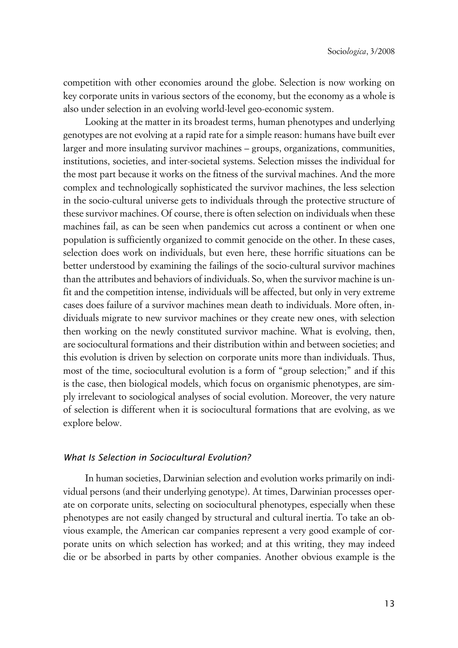competition with other economies around the globe. Selection is now working on key corporate units in various sectors of the economy, but the economy as a whole is also under selection in an evolving world-level geo-economic system.

Looking at the matter in its broadest terms, human phenotypes and underlying genotypes are not evolving at a rapid rate for a simple reason: humans have built ever larger and more insulating survivor machines – groups, organizations, communities, institutions, societies, and inter-societal systems. Selection misses the individual for the most part because it works on the fitness of the survival machines. And the more complex and technologically sophisticated the survivor machines, the less selection in the socio-cultural universe gets to individuals through the protective structure of these survivor machines. Of course, there is often selection on individuals when these machines fail, as can be seen when pandemics cut across a continent or when one population is sufficiently organized to commit genocide on the other. In these cases, selection does work on individuals, but even here, these horrific situations can be better understood by examining the failings of the socio-cultural survivor machines than the attributes and behaviors of individuals. So, when the survivor machine is unfit and the competition intense, individuals will be affected, but only in very extreme cases does failure of a survivor machines mean death to individuals. More often, individuals migrate to new survivor machines or they create new ones, with selection then working on the newly constituted survivor machine. What is evolving, then, are sociocultural formations and their distribution within and between societies; and this evolution is driven by selection on corporate units more than individuals. Thus, most of the time, sociocultural evolution is a form of "group selection;" and if this is the case, then biological models, which focus on organismic phenotypes, are simply irrelevant to sociological analyses of social evolution. Moreover, the very nature of selection is different when it is sociocultural formations that are evolving, as we explore below.

#### x*What Is Selection in Sociocultural Evolution?*

In human societies, Darwinian selection and evolution works primarily on individual persons (and their underlying genotype). At times, Darwinian processes operate on corporate units, selecting on sociocultural phenotypes, especially when these phenotypes are not easily changed by structural and cultural inertia. To take an obvious example, the American car companies represent a very good example of corporate units on which selection has worked; and at this writing, they may indeed die or be absorbed in parts by other companies. Another obvious example is the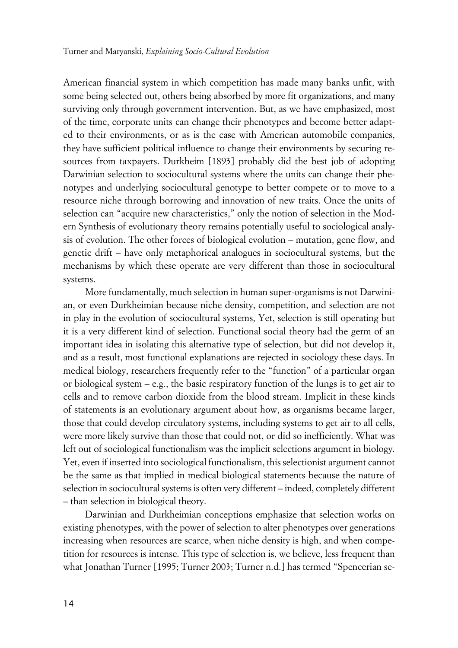American financial system in which competition has made many banks unfit, with some being selected out, others being absorbed by more fit organizations, and many surviving only through government intervention. But, as we have emphasized, most of the time, corporate units can change their phenotypes and become better adapted to their environments, or as is the case with American automobile companies, they have sufficient political influence to change their environments by securing resources from taxpayers. Durkheim [1893] probably did the best job of adopting Darwinian selection to sociocultural systems where the units can change their phenotypes and underlying sociocultural genotype to better compete or to move to a resource niche through borrowing and innovation of new traits. Once the units of selection can "acquire new characteristics," only the notion of selection in the Modern Synthesis of evolutionary theory remains potentially useful to sociological analysis of evolution. The other forces of biological evolution – mutation, gene flow, and genetic drift – have only metaphorical analogues in sociocultural systems, but the mechanisms by which these operate are very different than those in sociocultural systems.

More fundamentally, much selection in human super-organisms is not Darwinian, or even Durkheimian because niche density, competition, and selection are not in play in the evolution of sociocultural systems, Yet, selection is still operating but it is a very different kind of selection. Functional social theory had the germ of an important idea in isolating this alternative type of selection, but did not develop it, and as a result, most functional explanations are rejected in sociology these days. In medical biology, researchers frequently refer to the "function" of a particular organ or biological system – e.g., the basic respiratory function of the lungs is to get air to cells and to remove carbon dioxide from the blood stream. Implicit in these kinds of statements is an evolutionary argument about how, as organisms became larger, those that could develop circulatory systems, including systems to get air to all cells, were more likely survive than those that could not, or did so inefficiently. What was left out of sociological functionalism was the implicit selections argument in biology. Yet, even if inserted into sociological functionalism, this selectionist argument cannot be the same as that implied in medical biological statements because the nature of selection in sociocultural systems is often very different – indeed, completely different – than selection in biological theory.

Darwinian and Durkheimian conceptions emphasize that selection works on existing phenotypes, with the power of selection to alter phenotypes over generations increasing when resources are scarce, when niche density is high, and when competition for resources is intense. This type of selection is, we believe, less frequent than what Jonathan Turner [1995; Turner 2003; Turner n.d.] has termed "Spencerian se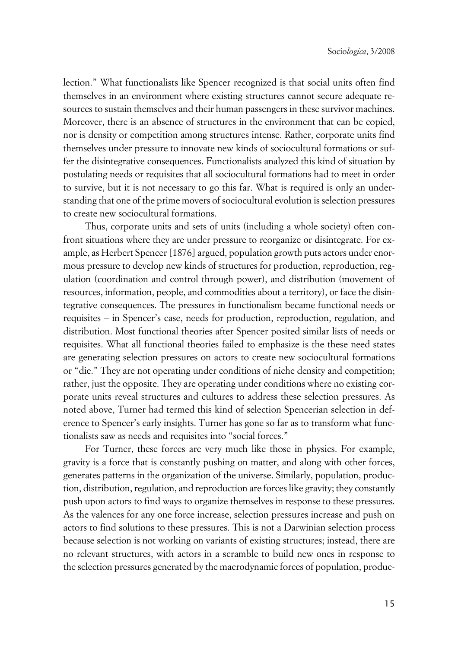lection." What functionalists like Spencer recognized is that social units often find themselves in an environment where existing structures cannot secure adequate resources to sustain themselves and their human passengers in these survivor machines. Moreover, there is an absence of structures in the environment that can be copied, nor is density or competition among structures intense. Rather, corporate units find themselves under pressure to innovate new kinds of sociocultural formations or suffer the disintegrative consequences. Functionalists analyzed this kind of situation by postulating needs or requisites that all sociocultural formations had to meet in order to survive, but it is not necessary to go this far. What is required is only an understanding that one of the prime movers of sociocultural evolution is selection pressures to create new sociocultural formations.

Thus, corporate units and sets of units (including a whole society) often confront situations where they are under pressure to reorganize or disintegrate. For example, as Herbert Spencer [1876] argued, population growth puts actors under enormous pressure to develop new kinds of structures for production, reproduction, regulation (coordination and control through power), and distribution (movement of resources, information, people, and commodities about a territory), or face the disintegrative consequences. The pressures in functionalism became functional needs or requisites – in Spencer's case, needs for production, reproduction, regulation, and distribution. Most functional theories after Spencer posited similar lists of needs or requisites. What all functional theories failed to emphasize is the these need states are generating selection pressures on actors to create new sociocultural formations or "die." They are not operating under conditions of niche density and competition; rather, just the opposite. They are operating under conditions where no existing corporate units reveal structures and cultures to address these selection pressures. As noted above, Turner had termed this kind of selection Spencerian selection in deference to Spencer's early insights. Turner has gone so far as to transform what functionalists saw as needs and requisites into "social forces."

For Turner, these forces are very much like those in physics. For example, gravity is a force that is constantly pushing on matter, and along with other forces, generates patterns in the organization of the universe. Similarly, population, production, distribution, regulation, and reproduction are forces like gravity; they constantly push upon actors to find ways to organize themselves in response to these pressures. As the valences for any one force increase, selection pressures increase and push on actors to find solutions to these pressures. This is not a Darwinian selection process because selection is not working on variants of existing structures; instead, there are no relevant structures, with actors in a scramble to build new ones in response to the selection pressures generated by the macrodynamic forces of population, produc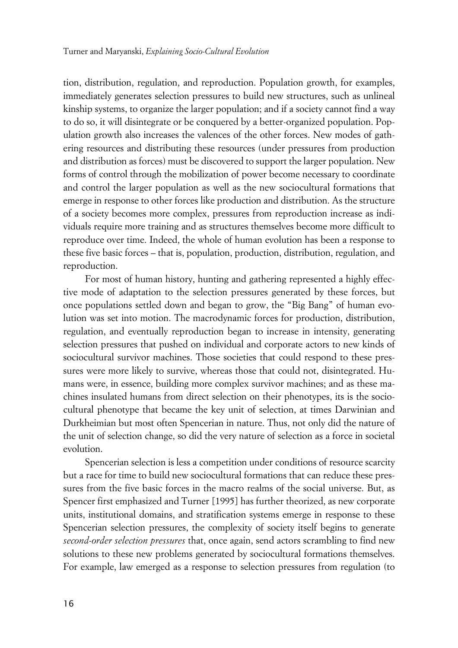tion, distribution, regulation, and reproduction. Population growth, for examples, immediately generates selection pressures to build new structures, such as unlineal kinship systems, to organize the larger population; and if a society cannot find a way to do so, it will disintegrate or be conquered by a better-organized population. Population growth also increases the valences of the other forces. New modes of gathering resources and distributing these resources (under pressures from production and distribution as forces) must be discovered to support the larger population. New forms of control through the mobilization of power become necessary to coordinate and control the larger population as well as the new sociocultural formations that emerge in response to other forces like production and distribution. As the structure of a society becomes more complex, pressures from reproduction increase as individuals require more training and as structures themselves become more difficult to reproduce over time. Indeed, the whole of human evolution has been a response to these five basic forces – that is, population, production, distribution, regulation, and reproduction.

For most of human history, hunting and gathering represented a highly effective mode of adaptation to the selection pressures generated by these forces, but once populations settled down and began to grow, the "Big Bang" of human evolution was set into motion. The macrodynamic forces for production, distribution, regulation, and eventually reproduction began to increase in intensity, generating selection pressures that pushed on individual and corporate actors to new kinds of sociocultural survivor machines. Those societies that could respond to these pressures were more likely to survive, whereas those that could not, disintegrated. Humans were, in essence, building more complex survivor machines; and as these machines insulated humans from direct selection on their phenotypes, its is the sociocultural phenotype that became the key unit of selection, at times Darwinian and Durkheimian but most often Spencerian in nature. Thus, not only did the nature of the unit of selection change, so did the very nature of selection as a force in societal evolution.

Spencerian selection is less a competition under conditions of resource scarcity but a race for time to build new sociocultural formations that can reduce these pressures from the five basic forces in the macro realms of the social universe. But, as Spencer first emphasized and Turner [1995] has further theorized, as new corporate units, institutional domains, and stratification systems emerge in response to these Spencerian selection pressures, the complexity of society itself begins to generate *second-order selection pressures* that, once again, send actors scrambling to find new solutions to these new problems generated by sociocultural formations themselves. For example, law emerged as a response to selection pressures from regulation (to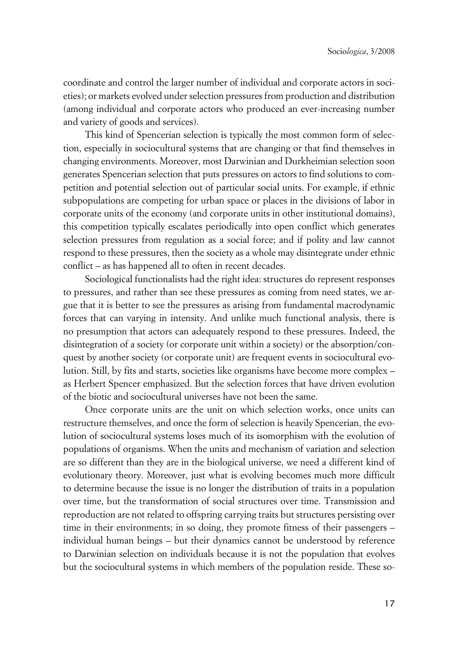coordinate and control the larger number of individual and corporate actors in societies); or markets evolved under selection pressures from production and distribution (among individual and corporate actors who produced an ever-increasing number and variety of goods and services).

This kind of Spencerian selection is typically the most common form of selection, especially in sociocultural systems that are changing or that find themselves in changing environments. Moreover, most Darwinian and Durkheimian selection soon generates Spencerian selection that puts pressures on actors to find solutions to competition and potential selection out of particular social units. For example, if ethnic subpopulations are competing for urban space or places in the divisions of labor in corporate units of the economy (and corporate units in other institutional domains), this competition typically escalates periodically into open conflict which generates selection pressures from regulation as a social force; and if polity and law cannot respond to these pressures, then the society as a whole may disintegrate under ethnic conflict – as has happened all to often in recent decades.

Sociological functionalists had the right idea: structures do represent responses to pressures, and rather than see these pressures as coming from need states, we argue that it is better to see the pressures as arising from fundamental macrodynamic forces that can varying in intensity. And unlike much functional analysis, there is no presumption that actors can adequately respond to these pressures. Indeed, the disintegration of a society (or corporate unit within a society) or the absorption/conquest by another society (or corporate unit) are frequent events in sociocultural evolution. Still, by fits and starts, societies like organisms have become more complex – as Herbert Spencer emphasized. But the selection forces that have driven evolution of the biotic and sociocultural universes have not been the same.

Once corporate units are the unit on which selection works, once units can restructure themselves, and once the form of selection is heavily Spencerian, the evolution of sociocultural systems loses much of its isomorphism with the evolution of populations of organisms. When the units and mechanism of variation and selection are so different than they are in the biological universe, we need a different kind of evolutionary theory. Moreover, just what is evolving becomes much more difficult to determine because the issue is no longer the distribution of traits in a population over time, but the transformation of social structures over time. Transmission and reproduction are not related to offspring carrying traits but structures persisting over time in their environments; in so doing, they promote fitness of their passengers – individual human beings – but their dynamics cannot be understood by reference to Darwinian selection on individuals because it is not the population that evolves but the sociocultural systems in which members of the population reside. These so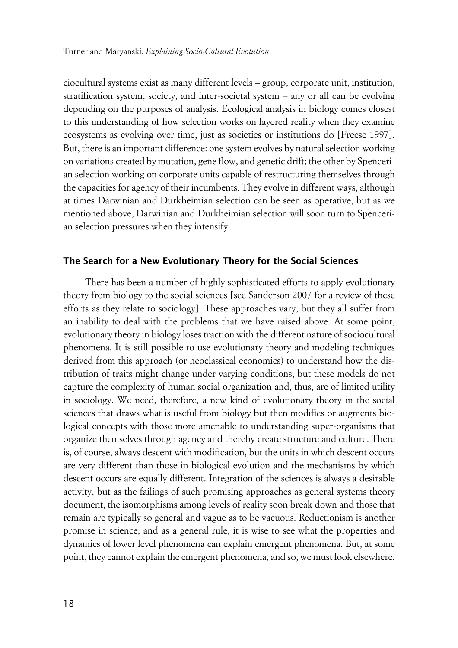ciocultural systems exist as many different levels – group, corporate unit, institution, stratification system, society, and inter-societal system – any or all can be evolving depending on the purposes of analysis. Ecological analysis in biology comes closest to this understanding of how selection works on layered reality when they examine ecosystems as evolving over time, just as societies or institutions do [Freese 1997]. But, there is an important difference: one system evolves by natural selection working on variations created by mutation, gene flow, and genetic drift; the other by Spencerian selection working on corporate units capable of restructuring themselves through the capacities for agency of their incumbents. They evolve in different ways, although at times Darwinian and Durkheimian selection can be seen as operative, but as we mentioned above, Darwinian and Durkheimian selection will soon turn to Spencerian selection pressures when they intensify.

#### **xThe Search for a New Evolutionary Theory for the Social Sciences**

There has been a number of highly sophisticated efforts to apply evolutionary theory from biology to the social sciences [see Sanderson 2007 for a review of these efforts as they relate to sociology]. These approaches vary, but they all suffer from an inability to deal with the problems that we have raised above. At some point, evolutionary theory in biology loses traction with the different nature of sociocultural phenomena. It is still possible to use evolutionary theory and modeling techniques derived from this approach (or neoclassical economics) to understand how the distribution of traits might change under varying conditions, but these models do not capture the complexity of human social organization and, thus, are of limited utility in sociology. We need, therefore, a new kind of evolutionary theory in the social sciences that draws what is useful from biology but then modifies or augments biological concepts with those more amenable to understanding super-organisms that organize themselves through agency and thereby create structure and culture. There is, of course, always descent with modification, but the units in which descent occurs are very different than those in biological evolution and the mechanisms by which descent occurs are equally different. Integration of the sciences is always a desirable activity, but as the failings of such promising approaches as general systems theory document, the isomorphisms among levels of reality soon break down and those that remain are typically so general and vague as to be vacuous. Reductionism is another promise in science; and as a general rule, it is wise to see what the properties and dynamics of lower level phenomena can explain emergent phenomena. But, at some point, they cannot explain the emergent phenomena, and so, we must look elsewhere.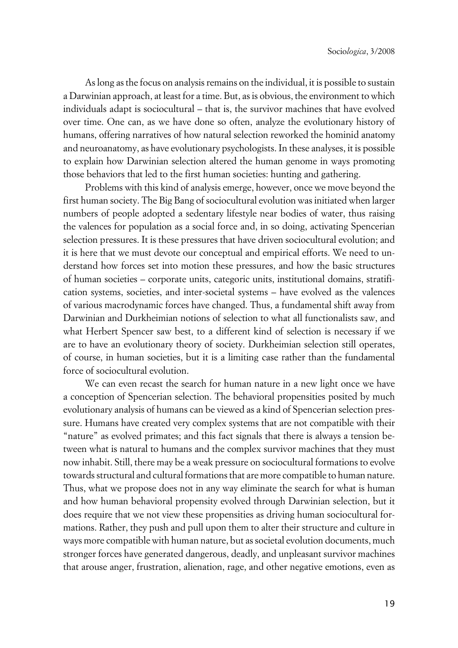As long as the focus on analysis remains on the individual, it is possible to sustain a Darwinian approach, at least for a time. But, as is obvious, the environment to which individuals adapt is sociocultural – that is, the survivor machines that have evolved over time. One can, as we have done so often, analyze the evolutionary history of humans, offering narratives of how natural selection reworked the hominid anatomy and neuroanatomy, as have evolutionary psychologists. In these analyses, it is possible to explain how Darwinian selection altered the human genome in ways promoting those behaviors that led to the first human societies: hunting and gathering.

Problems with this kind of analysis emerge, however, once we move beyond the first human society. The Big Bang of sociocultural evolution was initiated when larger numbers of people adopted a sedentary lifestyle near bodies of water, thus raising the valences for population as a social force and, in so doing, activating Spencerian selection pressures. It is these pressures that have driven sociocultural evolution; and it is here that we must devote our conceptual and empirical efforts. We need to understand how forces set into motion these pressures, and how the basic structures of human societies – corporate units, categoric units, institutional domains, stratification systems, societies, and inter-societal systems – have evolved as the valences of various macrodynamic forces have changed. Thus, a fundamental shift away from Darwinian and Durkheimian notions of selection to what all functionalists saw, and what Herbert Spencer saw best, to a different kind of selection is necessary if we are to have an evolutionary theory of society. Durkheimian selection still operates, of course, in human societies, but it is a limiting case rather than the fundamental force of sociocultural evolution.

We can even recast the search for human nature in a new light once we have a conception of Spencerian selection. The behavioral propensities posited by much evolutionary analysis of humans can be viewed as a kind of Spencerian selection pressure. Humans have created very complex systems that are not compatible with their "nature" as evolved primates; and this fact signals that there is always a tension between what is natural to humans and the complex survivor machines that they must now inhabit. Still, there may be a weak pressure on sociocultural formations to evolve towards structural and cultural formations that are more compatible to human nature. Thus, what we propose does not in any way eliminate the search for what is human and how human behavioral propensity evolved through Darwinian selection, but it does require that we not view these propensities as driving human sociocultural formations. Rather, they push and pull upon them to alter their structure and culture in ways more compatible with human nature, but as societal evolution documents, much stronger forces have generated dangerous, deadly, and unpleasant survivor machines that arouse anger, frustration, alienation, rage, and other negative emotions, even as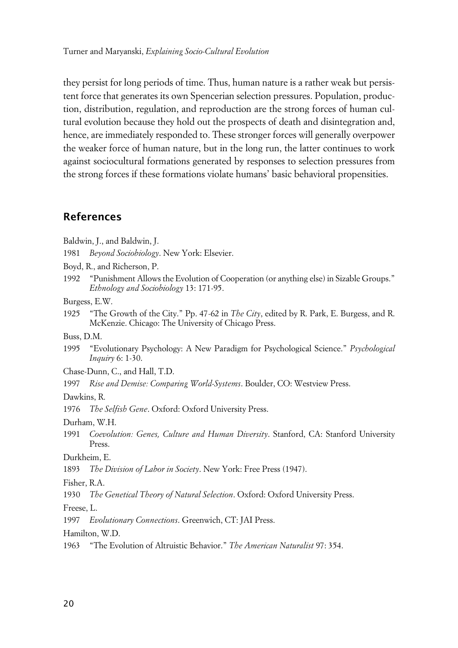they persist for long periods of time. Thus, human nature is a rather weak but persistent force that generates its own Spencerian selection pressures. Population, production, distribution, regulation, and reproduction are the strong forces of human cultural evolution because they hold out the prospects of death and disintegration and, hence, are immediately responded to. These stronger forces will generally overpower the weaker force of human nature, but in the long run, the latter continues to work against sociocultural formations generated by responses to selection pressures from the strong forces if these formations violate humans' basic behavioral propensities.

### **References**

Baldwin, J., and Baldwin, J.

1981 *Beyond Sociobiology*. New York: Elsevier.

Boyd, R., and Richerson, P.

1992 "Punishment Allows the Evolution of Cooperation (or anything else) in Sizable Groups." *Ethnology and Sociobiology* 13: 171-95.

Burgess, E.W.

1925 "The Growth of the City." Pp. 47-62 in *The City*, edited by R. Park, E. Burgess, and R. McKenzie. Chicago: The University of Chicago Press.

Buss, D.M.

1995 "Evolutionary Psychology: A New Paradigm for Psychological Science." *Psychological Inquiry* 6: 1-30.

Chase-Dunn, C., and Hall, T.D.

1997 *Rise and Demise: Comparing World-Systems*. Boulder, CO: Westview Press.

Dawkins, R.

1976 *The Selfish Gene*. Oxford: Oxford University Press.

Durham, W.H.

1991 *Coevolution: Genes, Culture and Human Diversity*. Stanford, CA: Stanford University Press.

Durkheim, E.

1893 *The Division of Labor in Society*. New York: Free Press (1947).

Fisher, R.A.

1930 *The Genetical Theory of Natural Selection*. Oxford: Oxford University Press.

Freese, L.

1997 *Evolutionary Connections*. Greenwich, CT: JAI Press.

Hamilton, W.D.

1963 "The Evolution of Altruistic Behavior." *The American Naturalist* 97: 354.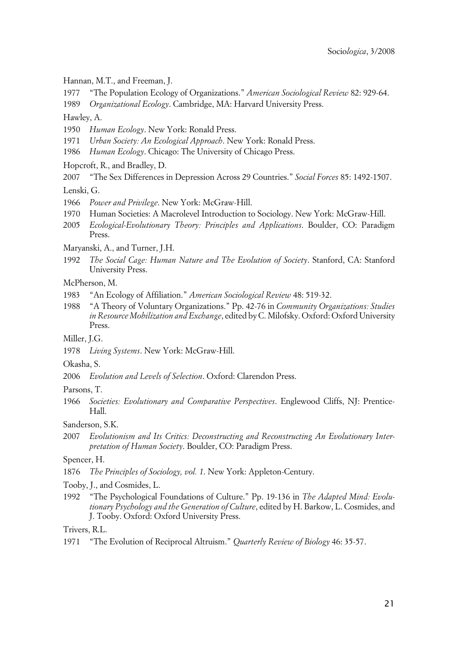Hannan, M.T., and Freeman, J.

1977 "The Population Ecology of Organizations." *American Sociological Review* 82: 929-64.

1989 *Organizational Ecology*. Cambridge, MA: Harvard University Press.

Hawley, A.

- 1950 *Human Ecology*. New York: Ronald Press.
- 1971 *Urban Society: An Ecological Approach*. New York: Ronald Press.
- 1986 *Human Ecology*. Chicago: The University of Chicago Press.

Hopcroft, R., and Bradley, D.

2007 "The Sex Differences in Depression Across 29 Countries." *Social Forces* 85: 1492-1507.

Lenski, G.

- 1966 *Power and Privilege*. New York: McGraw-Hill.
- 1970 Human Societies: A Macrolevel Introduction to Sociology. New York: McGraw-Hill.
- 2005 *Ecological-Evolutionary Theory: Principles and Applications*. Boulder, CO: Paradigm Press.

Maryanski, A., and Turner, J.H.

1992 *The Social Cage: Human Nature and The Evolution of Society*. Stanford, CA: Stanford University Press.

McPherson, M.

- 1983 "An Ecology of Affiliation." *American Sociological Review* 48: 519-32.
- 1988 "A Theory of Voluntary Organizations." Pp. 42-76 in *Community Organizations: Studies in Resource Mobilization and Exchange*, edited by C. Milofsky. Oxford: Oxford University Press.

Miller, J.G.

1978 *Living Systems*. New York: McGraw-Hill.

Okasha, S.

2006 *Evolution and Levels of Selection*. Oxford: Clarendon Press.

Parsons, T.

1966 *Societies: Evolutionary and Comparative Perspectives*. Englewood Cliffs, NJ: Prentice-Hall.

Sanderson, S.K.

2007 *Evolutionism and Its Critics: Deconstructing and Reconstructing An Evolutionary Interpretation of Human Society*. Boulder, CO: Paradigm Press.

Spencer, H.

- 1876 *The Principles of Sociology, vol. 1*. New York: Appleton-Century.
- Tooby, J., and Cosmides, L.
- 1992 "The Psychological Foundations of Culture." Pp. 19-136 in *The Adapted Mind: Evolutionary Psychology and the Generation of Culture*, edited by H. Barkow, L. Cosmides, and J. Tooby. Oxford: Oxford University Press.

Trivers, R.L.

1971 "The Evolution of Reciprocal Altruism." *Quarterly Review of Biology* 46: 35-57.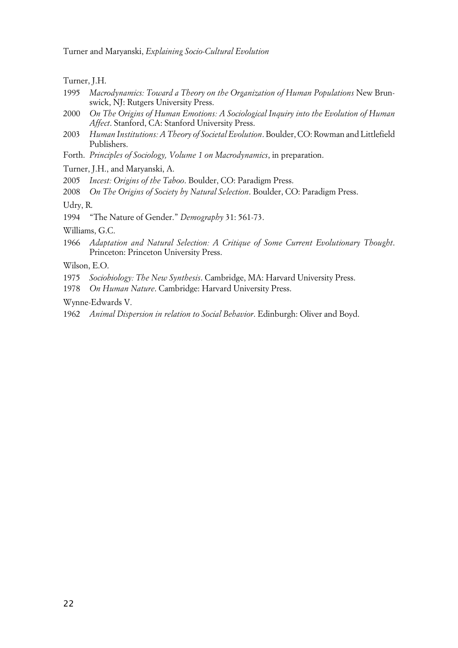Turner and Maryanski, *Explaining Socio-Cultural Evolution*

Turner, J.H.

- 1995 *Macrodynamics: Toward a Theory on the Organization of Human Populations* New Brunswick, NJ: Rutgers University Press.
- 2000 *On The Origins of Human Emotions: A Sociological Inquiry into the Evolution of Human Affect*. Stanford, CA: Stanford University Press.
- 2003 *Human Institutions: A Theory of Societal Evolution*. Boulder, CO: Rowman and Littlefield Publishers.
- Forth. *Principles of Sociology, Volume 1 on Macrodynamics*, in preparation.

Turner, J.H., and Maryanski, A.

2005 *Incest: Origins of the Taboo*. Boulder, CO: Paradigm Press.

2008 *On The Origins of Society by Natural Selection*. Boulder, CO: Paradigm Press.

Udry, R.

1994 "The Nature of Gender." *Demography* 31: 561-73.

Williams, G.C.

1966 *Adaptation and Natural Selection: A Critique of Some Current Evolutionary Thought*. Princeton: Princeton University Press.

Wilson, E.O.

- 1975 *Sociobiology: The New Synthesis*. Cambridge, MA: Harvard University Press.
- 1978 *On Human Nature*. Cambridge: Harvard University Press.

Wynne-Edwards V.

1962 *Animal Dispersion in relation to Social Behavior*. Edinburgh: Oliver and Boyd.